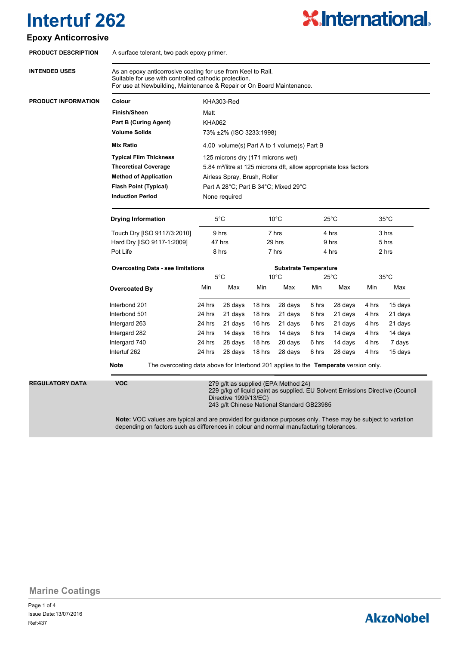### **Epoxy Anticorrosive**

| <b>PRODUCT DESCRIPTION</b> | A surface tolerant, two pack epoxy primer.                                                                                                                                                     |                                                                               |                       |                |                                                                                    |                |         |                |                                                                               |  |
|----------------------------|------------------------------------------------------------------------------------------------------------------------------------------------------------------------------------------------|-------------------------------------------------------------------------------|-----------------------|----------------|------------------------------------------------------------------------------------|----------------|---------|----------------|-------------------------------------------------------------------------------|--|
| <b>INTENDED USES</b>       | As an epoxy anticorrosive coating for use from Keel to Rail.<br>Suitable for use with controlled cathodic protection.<br>For use at Newbuilding, Maintenance & Repair or On Board Maintenance. |                                                                               |                       |                |                                                                                    |                |         |                |                                                                               |  |
| <b>PRODUCT INFORMATION</b> | Colour                                                                                                                                                                                         | KHA303-Red<br>Matt                                                            |                       |                |                                                                                    |                |         |                |                                                                               |  |
|                            | <b>Finish/Sheen</b>                                                                                                                                                                            |                                                                               |                       |                |                                                                                    |                |         |                |                                                                               |  |
|                            | <b>Part B (Curing Agent)</b>                                                                                                                                                                   | <b>KHA062</b>                                                                 |                       |                |                                                                                    |                |         |                |                                                                               |  |
|                            | <b>Volume Solids</b>                                                                                                                                                                           | 73% ±2% (ISO 3233:1998)                                                       |                       |                |                                                                                    |                |         |                |                                                                               |  |
|                            | <b>Mix Ratio</b>                                                                                                                                                                               | 4.00 volume(s) Part A to 1 volume(s) Part B                                   |                       |                |                                                                                    |                |         |                |                                                                               |  |
|                            | <b>Typical Film Thickness</b>                                                                                                                                                                  | 125 microns dry (171 microns wet)                                             |                       |                |                                                                                    |                |         |                |                                                                               |  |
|                            | <b>Theoretical Coverage</b>                                                                                                                                                                    | 5.84 m <sup>2</sup> /litre at 125 microns dft, allow appropriate loss factors |                       |                |                                                                                    |                |         |                |                                                                               |  |
|                            | <b>Method of Application</b>                                                                                                                                                                   | Airless Spray, Brush, Roller                                                  |                       |                |                                                                                    |                |         |                |                                                                               |  |
|                            | <b>Flash Point (Typical)</b>                                                                                                                                                                   | Part A 28°C; Part B 34°C; Mixed 29°C                                          |                       |                |                                                                                    |                |         |                |                                                                               |  |
|                            | <b>Induction Period</b><br>None required                                                                                                                                                       |                                                                               |                       |                |                                                                                    |                |         |                |                                                                               |  |
|                            | <b>Drying Information</b>                                                                                                                                                                      | 5°C                                                                           |                       | $10^{\circ}$ C |                                                                                    | $25^{\circ}$ C |         | $35^{\circ}$ C |                                                                               |  |
|                            | Touch Dry [ISO 9117/3:2010]                                                                                                                                                                    |                                                                               | 9 hrs                 |                | 7 hrs                                                                              |                | 4 hrs   |                | 3 hrs                                                                         |  |
|                            | Hard Dry [ISO 9117-1:2009]                                                                                                                                                                     | 47 hrs                                                                        |                       | 29 hrs         |                                                                                    | 9 hrs          |         | 5 hrs          |                                                                               |  |
|                            | Pot Life                                                                                                                                                                                       | 8 hrs                                                                         |                       | 7 hrs          |                                                                                    | 4 hrs          |         | 2 hrs          |                                                                               |  |
|                            | <b>Overcoating Data - see limitations</b>                                                                                                                                                      |                                                                               |                       |                | <b>Substrate Temperature</b>                                                       |                |         |                |                                                                               |  |
|                            |                                                                                                                                                                                                | $5^{\circ}$ C                                                                 |                       | $10^{\circ}$ C |                                                                                    | $25^{\circ}$ C |         | $35^{\circ}$ C |                                                                               |  |
|                            | <b>Overcoated By</b>                                                                                                                                                                           | Min                                                                           | Max                   | Min            | Max                                                                                | Min            | Max     | Min            | Max                                                                           |  |
|                            | Interbond 201                                                                                                                                                                                  | 24 hrs                                                                        | 28 days               | 18 hrs         | 28 days                                                                            | 8 hrs          | 28 days | 4 hrs          | 15 days                                                                       |  |
|                            | Interbond 501                                                                                                                                                                                  | 24 hrs                                                                        | 21 days               | 18 hrs         | 21 days                                                                            | 6 hrs          | 21 days | 4 hrs          | 21 days                                                                       |  |
|                            | Intergard 263                                                                                                                                                                                  | 24 hrs                                                                        | 21 days               | 16 hrs         | 21 days                                                                            | 6 hrs          | 21 days | 4 hrs          | 21 days                                                                       |  |
|                            | Intergard 282                                                                                                                                                                                  | 24 hrs                                                                        | 14 days               | 16 hrs         | 14 days                                                                            | 6 hrs          | 14 days | 4 hrs          | 14 days                                                                       |  |
|                            | Intergard 740                                                                                                                                                                                  | 24 hrs                                                                        | 28 days               | 18 hrs         | 20 days                                                                            | 6 hrs          | 14 days | 4 hrs          | 7 days                                                                        |  |
|                            | Intertuf 262                                                                                                                                                                                   | 24 hrs                                                                        | 28 days               | 18 hrs         | 28 days                                                                            | 6 hrs          | 28 days | 4 hrs          | 15 days                                                                       |  |
|                            | <b>Note</b><br>The overcoating data above for Interbond 201 applies to the Temperate version only.                                                                                             |                                                                               |                       |                |                                                                                    |                |         |                |                                                                               |  |
| <b>REGULATORY DATA</b>     | <b>VOC</b>                                                                                                                                                                                     |                                                                               | Directive 1999/13/EC) |                | 279 g/lt as supplied (EPA Method 24)<br>243 g/lt Chinese National Standard GB23985 |                |         |                | 229 g/kg of liquid paint as supplied. EU Solvent Emissions Directive (Council |  |
|                            | Note: VOC values are typical and are provided for quidance purposes only. These may be subject to variation                                                                                    |                                                                               |                       |                |                                                                                    |                |         |                |                                                                               |  |

**Note:** VOC values are typical and are provided for guidance purposes only. These may be subject to variation depending on factors such as differences in colour and normal manufacturing tolerances.

**Marine Coatings**

Page 1 of 4 Ref:437 Issue Date:13/07/2016

## **AkzoNobel**

**X.International.**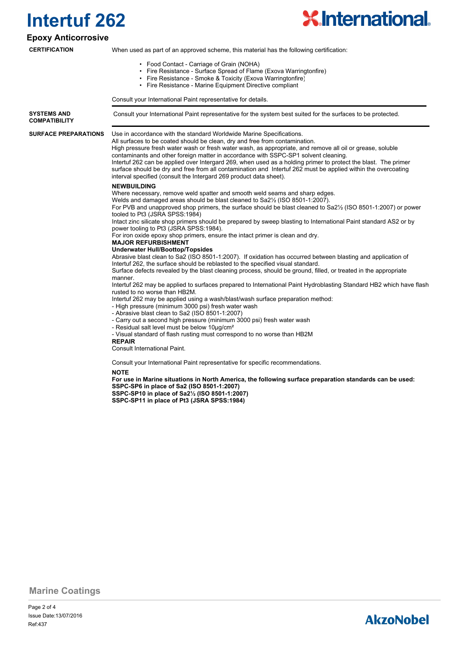

#### **Epoxy Anticorrosive**

**CERTIFICATION**

When used as part of an approved scheme, this material has the following certification:

- Food Contact Carriage of Grain (NOHA)
- Fire Resistance Surface Spread of Flame (Exova Warringtonfire)
- Fire Resistance Smoke & Toxicity (Exova Warringtonfire)
- Fire Resistance Marine Equipment Directive compliant

Consult your International Paint representative for details.

**SYSTEMS AND** Consult your International Paint representative for the system best suited for the surfaces to be protected. **COMPATIBILITY**

**SURFACE PREPARATIONS**

Use in accordance with the standard Worldwide Marine Specifications.

All surfaces to be coated should be clean, dry and free from contamination. High pressure fresh water wash or fresh water wash, as appropriate, and remove all oil or grease, soluble contaminants and other foreign matter in accordance with SSPC-SP1 solvent cleaning. Intertuf 262 can be applied over Intergard 269, when used as a holding primer to protect the blast. The primer surface should be dry and free from all contamination and Intertuf 262 must be applied within the overcoating interval specified (consult the Intergard 269 product data sheet).

#### **NEWBUILDING**

Where necessary, remove weld spatter and smooth weld seams and sharp edges.

Welds and damaged areas should be blast cleaned to Sa2½ (ISO 8501-1:2007).

For PVB and unapproved shop primers, the surface should be blast cleaned to Sa2½ (ISO 8501-1:2007) or power tooled to Pt3 (JSRA SPSS:1984)

Intact zinc silicate shop primers should be prepared by sweep blasting to International Paint standard AS2 or by power tooling to Pt3 (JSRA SPSS:1984).

For iron oxide epoxy shop primers, ensure the intact primer is clean and dry.

#### **MAJOR REFURBISHMENT**

**Underwater Hull/Boottop/Topsides**

Abrasive blast clean to Sa2 (ISO 8501-1:2007). If oxidation has occurred between blasting and application of Intertuf 262, the surface should be reblasted to the specified visual standard.

Surface defects revealed by the blast cleaning process, should be ground, filled, or treated in the appropriate manner.

Intertuf 262 may be applied to surfaces prepared to International Paint Hydroblasting Standard HB2 which have flash rusted to no worse than HB2M.

Intertuf 262 may be applied using a wash/blast/wash surface preparation method:

- High pressure (minimum 3000 psi) fresh water wash
- Abrasive blast clean to Sa2 (ISO 8501-1:2007)
- Carry out a second high pressure (minimum 3000 psi) fresh water wash
- Residual salt level must be below 10µg/cm²
- Visual standard of flash rusting must correspond to no worse than HB2M

**REPAIR**

Consult International Paint.

Consult your International Paint representative for specific recommendations.

**NOTE**

**For use in Marine situations in North America, the following surface preparation standards can be used: SSPC-SP6 in place of Sa2 (ISO 8501-1:2007) SSPC-SP10 in place of Sa2½ (ISO 8501-1:2007) SSPC-SP11 in place of Pt3 (JSRA SPSS:1984)**

**Marine Coatings**

Page 2 of 4 Ref:437 Issue Date:13/07/2016

## **AkzoNobel**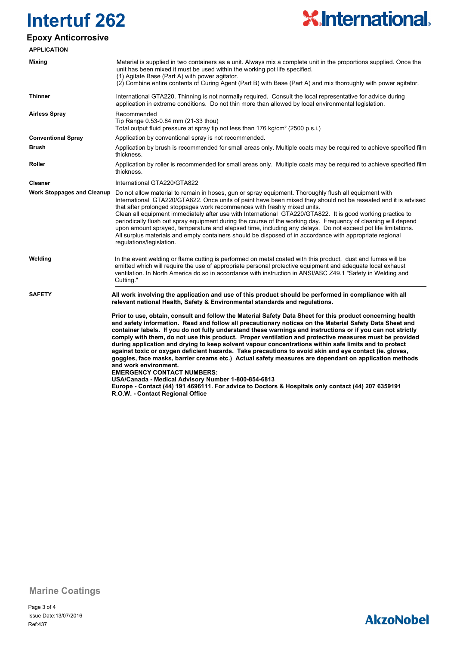

### **Epoxy Anticorrosive**

| <b>APPLICATION</b>                |                                                                                                                                                                                                                                                                                                                                                                                                                                                                                                                                                                                                                                                                                                                                                                                                                                                                                                                                                                                                                                           |
|-----------------------------------|-------------------------------------------------------------------------------------------------------------------------------------------------------------------------------------------------------------------------------------------------------------------------------------------------------------------------------------------------------------------------------------------------------------------------------------------------------------------------------------------------------------------------------------------------------------------------------------------------------------------------------------------------------------------------------------------------------------------------------------------------------------------------------------------------------------------------------------------------------------------------------------------------------------------------------------------------------------------------------------------------------------------------------------------|
| <b>Mixing</b>                     | Material is supplied in two containers as a unit. Always mix a complete unit in the proportions supplied. Once the<br>unit has been mixed it must be used within the working pot life specified.<br>(1) Agitate Base (Part A) with power agitator.<br>(2) Combine entire contents of Curing Agent (Part B) with Base (Part A) and mix thoroughly with power agitator.                                                                                                                                                                                                                                                                                                                                                                                                                                                                                                                                                                                                                                                                     |
| <b>Thinner</b>                    | International GTA220. Thinning is not normally required. Consult the local representative for advice during<br>application in extreme conditions. Do not thin more than allowed by local environmental legislation.                                                                                                                                                                                                                                                                                                                                                                                                                                                                                                                                                                                                                                                                                                                                                                                                                       |
| <b>Airless Spray</b>              | Recommended<br>Tip Range 0.53-0.84 mm (21-33 thou)<br>Total output fluid pressure at spray tip not less than 176 kg/cm <sup>2</sup> (2500 p.s.i.)                                                                                                                                                                                                                                                                                                                                                                                                                                                                                                                                                                                                                                                                                                                                                                                                                                                                                         |
| <b>Conventional Spray</b>         | Application by conventional spray is not recommended.                                                                                                                                                                                                                                                                                                                                                                                                                                                                                                                                                                                                                                                                                                                                                                                                                                                                                                                                                                                     |
| <b>Brush</b>                      | Application by brush is recommended for small areas only. Multiple coats may be required to achieve specified film<br>thickness.                                                                                                                                                                                                                                                                                                                                                                                                                                                                                                                                                                                                                                                                                                                                                                                                                                                                                                          |
| Roller                            | Application by roller is recommended for small areas only. Multiple coats may be required to achieve specified film<br>thickness.                                                                                                                                                                                                                                                                                                                                                                                                                                                                                                                                                                                                                                                                                                                                                                                                                                                                                                         |
| Cleaner                           | International GTA220/GTA822                                                                                                                                                                                                                                                                                                                                                                                                                                                                                                                                                                                                                                                                                                                                                                                                                                                                                                                                                                                                               |
| <b>Work Stoppages and Cleanup</b> | Do not allow material to remain in hoses, gun or spray equipment. Thoroughly flush all equipment with<br>International GTA220/GTA822. Once units of paint have been mixed they should not be resealed and it is advised<br>that after prolonged stoppages work recommences with freshly mixed units.<br>Clean all equipment immediately after use with International GTA220/GTA822. It is good working practice to<br>periodically flush out spray equipment during the course of the working day. Frequency of cleaning will depend<br>upon amount sprayed, temperature and elapsed time, including any delays. Do not exceed pot life limitations.<br>All surplus materials and empty containers should be disposed of in accordance with appropriate regional<br>regulations/legislation.                                                                                                                                                                                                                                              |
| Welding                           | In the event welding or flame cutting is performed on metal coated with this product, dust and fumes will be<br>emitted which will require the use of appropriate personal protective equipment and adequate local exhaust<br>ventilation. In North America do so in accordance with instruction in ANSI/ASC Z49.1 "Safety in Welding and<br>Cutting."                                                                                                                                                                                                                                                                                                                                                                                                                                                                                                                                                                                                                                                                                    |
| <b>SAFETY</b>                     | All work involving the application and use of this product should be performed in compliance with all<br>relevant national Health, Safety & Environmental standards and regulations.                                                                                                                                                                                                                                                                                                                                                                                                                                                                                                                                                                                                                                                                                                                                                                                                                                                      |
|                                   | Prior to use, obtain, consult and follow the Material Safety Data Sheet for this product concerning health<br>and safety information. Read and follow all precautionary notices on the Material Safety Data Sheet and<br>container labels. If you do not fully understand these warnings and instructions or if you can not strictly<br>comply with them, do not use this product. Proper ventilation and protective measures must be provided<br>during application and drying to keep solvent vapour concentrations within safe limits and to protect<br>against toxic or oxygen deficient hazards. Take precautions to avoid skin and eye contact (ie. gloves,<br>goggles, face masks, barrier creams etc.) Actual safety measures are dependant on application methods<br>and work environment.<br><b>EMERGENCY CONTACT NUMBERS:</b><br>USA/Canada - Medical Advisory Number 1-800-854-6813<br>Europe - Contact (44) 191 4696111. For advice to Doctors & Hospitals only contact (44) 207 6359191<br>R.O.W. - Contact Regional Office |

**Marine Coatings**